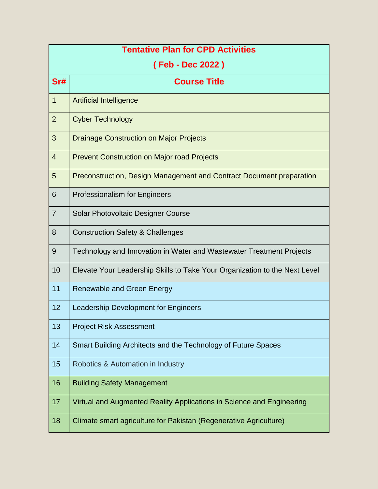| <b>Tentative Plan for CPD Activities</b> |                                                                            |  |
|------------------------------------------|----------------------------------------------------------------------------|--|
| (Feb - Dec 2022)                         |                                                                            |  |
| Sr#                                      | <b>Course Title</b>                                                        |  |
| 1                                        | <b>Artificial Intelligence</b>                                             |  |
| $\overline{2}$                           | <b>Cyber Technology</b>                                                    |  |
| 3                                        | <b>Drainage Construction on Major Projects</b>                             |  |
| $\overline{4}$                           | <b>Prevent Construction on Major road Projects</b>                         |  |
| 5                                        | Preconstruction, Design Management and Contract Document preparation       |  |
| 6                                        | <b>Professionalism for Engineers</b>                                       |  |
| $\overline{7}$                           | Solar Photovoltaic Designer Course                                         |  |
| 8                                        | <b>Construction Safety &amp; Challenges</b>                                |  |
| 9                                        | Technology and Innovation in Water and Wastewater Treatment Projects       |  |
| 10                                       | Elevate Your Leadership Skills to Take Your Organization to the Next Level |  |
| 11                                       | Renewable and Green Energy                                                 |  |
| 12                                       | Leadership Development for Engineers                                       |  |
| 13                                       | <b>Project Risk Assessment</b>                                             |  |
| 14                                       | Smart Building Architects and the Technology of Future Spaces              |  |
| 15                                       | Robotics & Automation in Industry                                          |  |
| 16                                       | <b>Building Safety Management</b>                                          |  |
| 17                                       | Virtual and Augmented Reality Applications in Science and Engineering      |  |
| 18                                       | Climate smart agriculture for Pakistan (Regenerative Agriculture)          |  |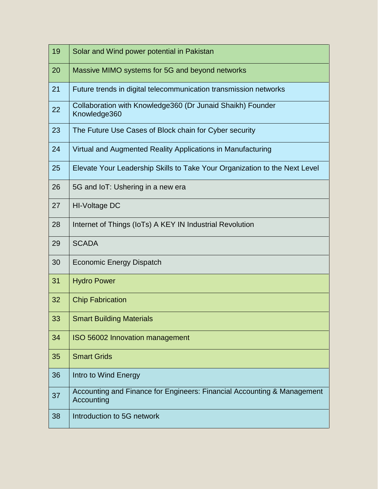| 19 | Solar and Wind power potential in Pakistan                                            |
|----|---------------------------------------------------------------------------------------|
| 20 | Massive MIMO systems for 5G and beyond networks                                       |
| 21 | Future trends in digital telecommunication transmission networks                      |
| 22 | Collaboration with Knowledge360 (Dr Junaid Shaikh) Founder<br>Knowledge360            |
| 23 | The Future Use Cases of Block chain for Cyber security                                |
| 24 | Virtual and Augmented Reality Applications in Manufacturing                           |
| 25 | Elevate Your Leadership Skills to Take Your Organization to the Next Level            |
| 26 | 5G and IoT: Ushering in a new era                                                     |
| 27 | HI-Voltage DC                                                                         |
| 28 | Internet of Things (IoTs) A KEY IN Industrial Revolution                              |
| 29 | <b>SCADA</b>                                                                          |
| 30 | <b>Economic Energy Dispatch</b>                                                       |
| 31 | <b>Hydro Power</b>                                                                    |
| 32 | <b>Chip Fabrication</b>                                                               |
| 33 | <b>Smart Building Materials</b>                                                       |
| 34 | ISO 56002 Innovation management                                                       |
| 35 | <b>Smart Grids</b>                                                                    |
| 36 | Intro to Wind Energy                                                                  |
| 37 | Accounting and Finance for Engineers: Financial Accounting & Management<br>Accounting |
| 38 | Introduction to 5G network                                                            |